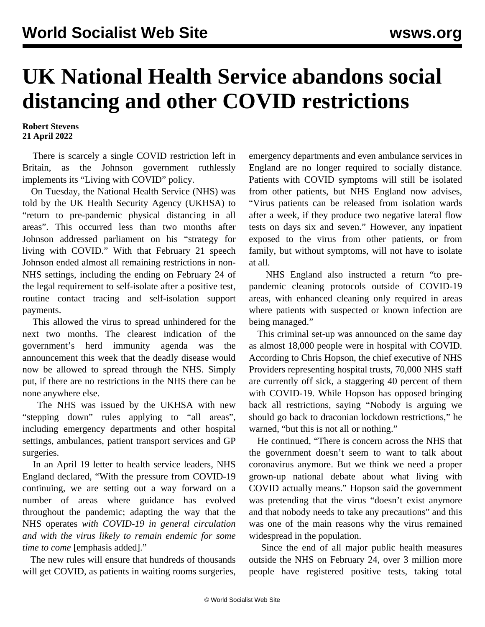## **UK National Health Service abandons social distancing and other COVID restrictions**

## **Robert Stevens 21 April 2022**

 There is scarcely a single COVID restriction left in Britain, as the Johnson government ruthlessly implements its "Living with COVID" policy.

 On Tuesday, the National Health Service (NHS) was told by the UK Health Security Agency (UKHSA) to "return to pre-pandemic physical distancing in all areas". This occurred less than two months after Johnson addressed parliament on his "strategy for living with COVID." With that February 21 speech Johnson ended almost all remaining restrictions in non-NHS settings, including the ending on February 24 of the legal requirement to self-isolate after a positive test, routine contact tracing and self-isolation support payments.

 This allowed the virus to spread unhindered for the next two months. The clearest indication of the government's herd immunity agenda was the announcement this week that the deadly disease would now be allowed to spread through the NHS. Simply put, if there are no restrictions in the NHS there can be none anywhere else.

 The NHS was issued by the UKHSA with new "stepping down" rules applying to "all areas", including emergency departments and other hospital settings, ambulances, patient transport services and GP surgeries.

 In an April 19 letter to health service leaders, NHS England declared, "With the pressure from COVID-19 continuing, we are setting out a way forward on a number of areas where guidance has evolved throughout the pandemic; adapting the way that the NHS operates *with COVID-19 in general circulation and with the virus likely to remain endemic for some time to come* [emphasis added]."

 The new rules will ensure that hundreds of thousands will get COVID, as patients in waiting rooms surgeries, emergency departments and even ambulance services in England are no longer required to socially distance. Patients with COVID symptoms will still be isolated from other patients, but NHS England now advises, "Virus patients can be released from isolation wards after a week, if they produce two negative lateral flow tests on days six and seven." However, any inpatient exposed to the virus from other patients, or from family, but without symptoms, will not have to isolate at all.

 NHS England also instructed a return "to prepandemic cleaning protocols outside of COVID-19 areas, with enhanced cleaning only required in areas where patients with suspected or known infection are being managed."

 This criminal set-up was announced on the same day as almost 18,000 people were in hospital with COVID. According to Chris Hopson, the chief executive of NHS Providers representing hospital trusts, 70,000 NHS staff are currently off sick, a staggering 40 percent of them with COVID-19. While Hopson has opposed bringing back all restrictions, saying "Nobody is arguing we should go back to draconian lockdown restrictions," he warned, "but this is not all or nothing."

 He continued, "There is concern across the NHS that the government doesn't seem to want to talk about coronavirus anymore. But we think we need a proper grown-up national debate about what living with COVID actually means." Hopson said the government was pretending that the virus "doesn't exist anymore and that nobody needs to take any precautions" and this was one of the main reasons why the virus remained widespread in the population.

 Since the end of all major public health measures outside the NHS on February 24, over 3 million more people have registered positive tests, taking total